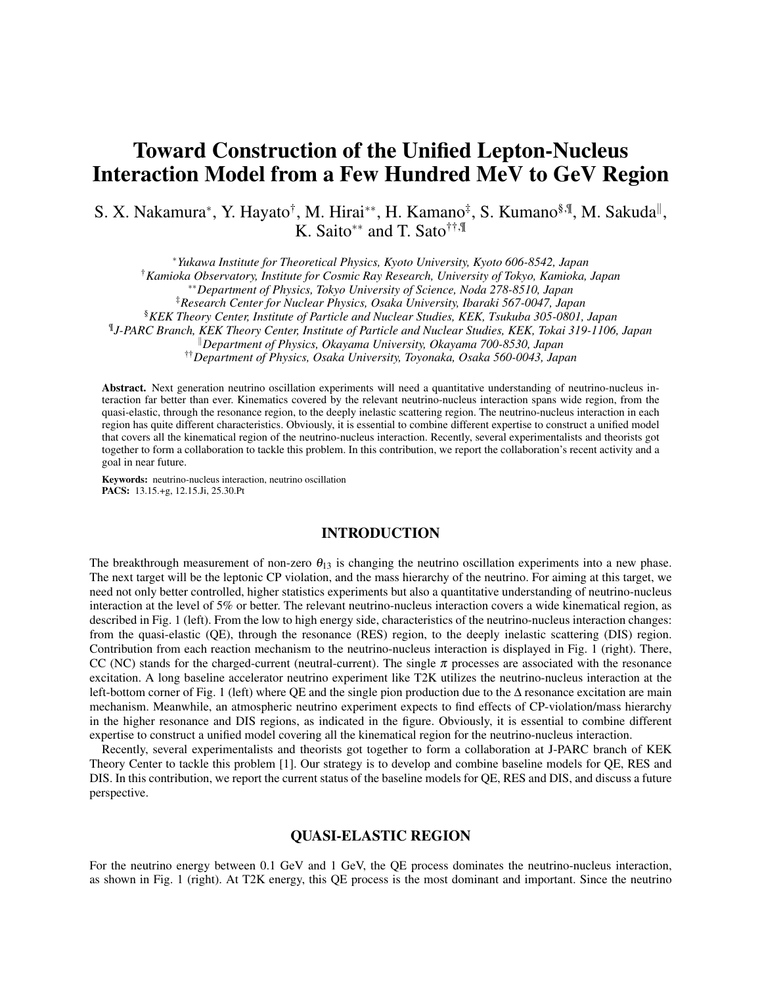# Toward Construction of the Unified Lepton-Nucleus Interaction Model from a Few Hundred MeV to GeV Region

S. X. Nakamura<sup>∗</sup>, Y. Hayato<sup>†</sup>, M. Hirai<sup>∗∗</sup>, H. Kamano<sup>‡</sup>, S. Kumano<sup>§,¶</sup>, M. Sakuda<sup>∥</sup>, K. Saito*∗∗* and T. Sato††,¶

*<sup>∗</sup>Yukawa Institute for Theoretical Physics, Kyoto University, Kyoto 606-8542, Japan*

†*Kamioka Observatory, Institute for Cosmic Ray Research, University of Tokyo, Kamioka, Japan*

*∗∗Department of Physics, Tokyo University of Science, Noda 278-8510, Japan*

‡*Research Center for Nuclear Physics, Osaka University, Ibaraki 567-0047, Japan*

§*KEK Theory Center, Institute of Particle and Nuclear Studies, KEK, Tsukuba 305-0801, Japan*

¶ *J-PARC Branch, KEK Theory Center, Institute of Particle and Nuclear Studies, KEK, Tokai 319-1106, Japan*

*<sup>∥</sup>Department of Physics, Okayama University, Okayama 700-8530, Japan*

††*Department of Physics, Osaka University, Toyonaka, Osaka 560-0043, Japan*

Abstract. Next generation neutrino oscillation experiments will need a quantitative understanding of neutrino-nucleus interaction far better than ever. Kinematics covered by the relevant neutrino-nucleus interaction spans wide region, from the quasi-elastic, through the resonance region, to the deeply inelastic scattering region. The neutrino-nucleus interaction in each region has quite different characteristics. Obviously, it is essential to combine different expertise to construct a unified model that covers all the kinematical region of the neutrino-nucleus interaction. Recently, several experimentalists and theorists got together to form a collaboration to tackle this problem. In this contribution, we report the collaboration's recent activity and a goal in near future.

Keywords: neutrino-nucleus interaction, neutrino oscillation PACS: 13.15.+g, 12.15.Ji, 25.30.Pt

## INTRODUCTION

The breakthrough measurement of non-zero  $\theta_{13}$  is changing the neutrino oscillation experiments into a new phase. The next target will be the leptonic CP violation, and the mass hierarchy of the neutrino. For aiming at this target, we need not only better controlled, higher statistics experiments but also a quantitative understanding of neutrino-nucleus interaction at the level of 5% or better. The relevant neutrino-nucleus interaction covers a wide kinematical region, as described in Fig. 1 (left). From the low to high energy side, characteristics of the neutrino-nucleus interaction changes: from the quasi-elastic (QE), through the resonance (RES) region, to the deeply inelastic scattering (DIS) region. Contribution from each reaction mechanism to the neutrino-nucleus interaction is displayed in Fig. 1 (right). There, CC (NC) stands for the charged-current (neutral-current). The single  $\pi$  processes are associated with the resonance excitation. A long baseline accelerator neutrino experiment like T2K utilizes the neutrino-nucleus interaction at the left-bottom corner of Fig. 1 (left) where QE and the single pion production due to the ∆ resonance excitation are main mechanism. Meanwhile, an atmospheric neutrino experiment expects to find effects of CP-violation/mass hierarchy in the higher resonance and DIS regions, as indicated in the figure. Obviously, it is essential to combine different expertise to construct a unified model covering all the kinematical region for the neutrino-nucleus interaction.

Recently, several experimentalists and theorists got together to form a collaboration at J-PARC branch of KEK Theory Center to tackle this problem [1]. Our strategy is to develop and combine baseline models for QE, RES and DIS. In this contribution, we report the current status of the baseline models for QE, RES and DIS, and discuss a future perspective.

## QUASI-ELASTIC REGION

For the neutrino energy between 0.1 GeV and 1 GeV, the QE process dominates the neutrino-nucleus interaction, as shown in Fig. 1 (right). At T2K energy, this QE process is the most dominant and important. Since the neutrino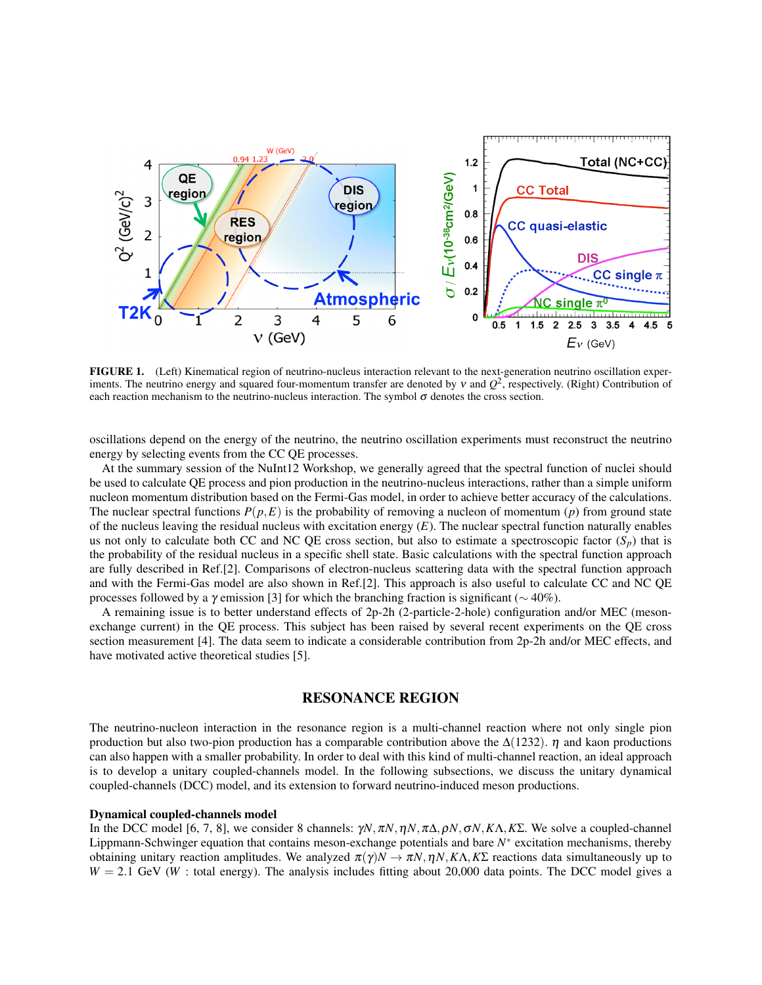

FIGURE 1. (Left) Kinematical region of neutrino-nucleus interaction relevant to the next-generation neutrino oscillation experiments. The neutrino energy and squared four-momentum transfer are denoted by  $v$  and  $Q^2$ , respectively. (Right) Contribution of each reaction mechanism to the neutrino-nucleus interaction. The symbol  $\sigma$  denotes the cross section.

oscillations depend on the energy of the neutrino, the neutrino oscillation experiments must reconstruct the neutrino energy by selecting events from the CC QE processes.

At the summary session of the NuInt12 Workshop, we generally agreed that the spectral function of nuclei should be used to calculate QE process and pion production in the neutrino-nucleus interactions, rather than a simple uniform nucleon momentum distribution based on the Fermi-Gas model, in order to achieve better accuracy of the calculations. The nuclear spectral functions  $P(p, E)$  is the probability of removing a nucleon of momentum (*p*) from ground state of the nucleus leaving the residual nucleus with excitation energy (*E*). The nuclear spectral function naturally enables us not only to calculate both CC and NC QE cross section, but also to estimate a spectroscopic factor  $(S_p)$  that is the probability of the residual nucleus in a specific shell state. Basic calculations with the spectral function approach are fully described in Ref.[2]. Comparisons of electron-nucleus scattering data with the spectral function approach and with the Fermi-Gas model are also shown in Ref.[2]. This approach is also useful to calculate CC and NC QE processes followed by a <sup>γ</sup> emission [3] for which the branching fraction is significant (*∼* 40%).

A remaining issue is to better understand effects of 2p-2h (2-particle-2-hole) configuration and/or MEC (mesonexchange current) in the QE process. This subject has been raised by several recent experiments on the QE cross section measurement [4]. The data seem to indicate a considerable contribution from 2p-2h and/or MEC effects, and have motivated active theoretical studies [5].

## RESONANCE REGION

The neutrino-nucleon interaction in the resonance region is a multi-channel reaction where not only single pion production but also two-pion production has a comparable contribution above the  $\Delta(1232)$ .  $\eta$  and kaon productions can also happen with a smaller probability. In order to deal with this kind of multi-channel reaction, an ideal approach is to develop a unitary coupled-channels model. In the following subsections, we discuss the unitary dynamical coupled-channels (DCC) model, and its extension to forward neutrino-induced meson productions.

#### Dynamical coupled-channels model

In the DCC model [6, 7, 8], we consider 8 channels: <sup>γ</sup>*N,*π*N,*η*N,*π∆*,*ρ*N,*σ*N,K*Λ*,K*Σ. We solve a coupled-channel Lippmann-Schwinger equation that contains meson-exchange potentials and bare *N ∗* excitation mechanisms, thereby obtaining unitary reaction amplitudes. We analyzed <sup>π</sup>(γ)*N →* <sup>π</sup>*N,*η*N,K*Λ*,K*Σ reactions data simultaneously up to  $W = 2.1$  GeV (*W* : total energy). The analysis includes fitting about 20,000 data points. The DCC model gives a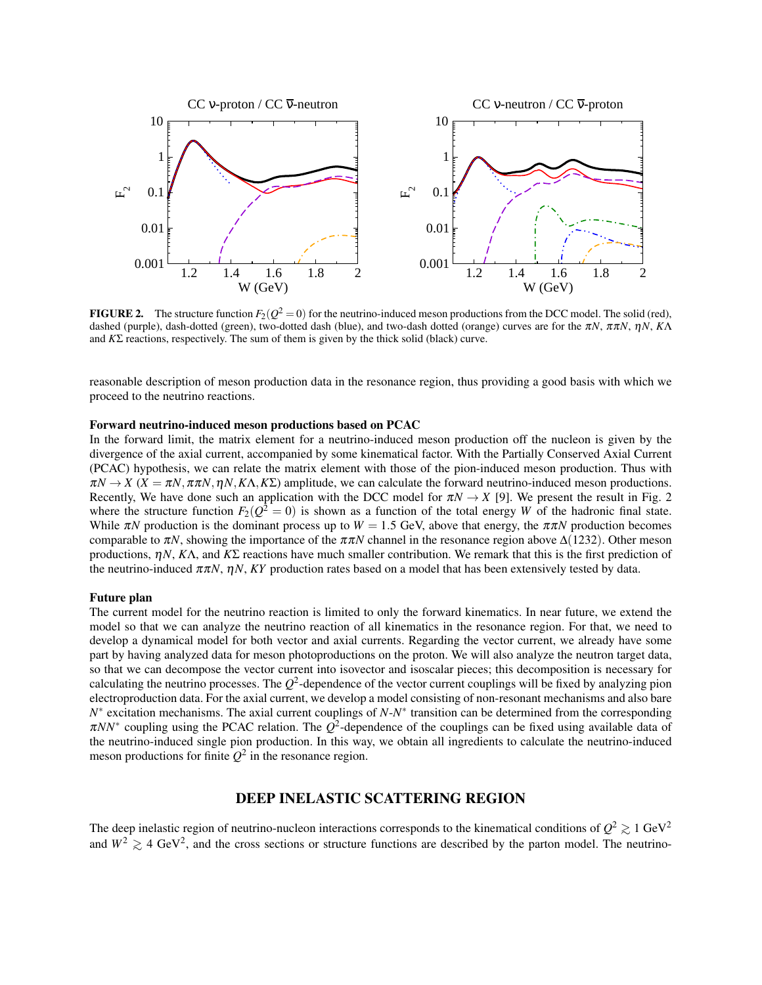

**FIGURE 2.** The structure function  $F_2(Q^2 = 0)$  for the neutrino-induced meson productions from the DCC model. The solid (red), dashed (purple), dash-dotted (green), two-dotted dash (blue), and two-dash dotted (orange) curves are for the <sup>π</sup>*N*, ππ*N*, <sup>η</sup>*N*, *K*Λ and *K*Σ reactions, respectively. The sum of them is given by the thick solid (black) curve.

reasonable description of meson production data in the resonance region, thus providing a good basis with which we proceed to the neutrino reactions.

#### Forward neutrino-induced meson productions based on PCAC

In the forward limit, the matrix element for a neutrino-induced meson production off the nucleon is given by the divergence of the axial current, accompanied by some kinematical factor. With the Partially Conserved Axial Current (PCAC) hypothesis, we can relate the matrix element with those of the pion-induced meson production. Thus with  $\pi N \to X$  ( $X = \pi N$ ,  $\pi \pi N$ ,  $\eta N$ ,  $K\Lambda$ ,  $K\Sigma$ ) amplitude, we can calculate the forward neutrino-induced meson productions. Recently, We have done such an application with the DCC model for  $\pi N \to X$  [9]. We present the result in Fig. 2 where the structure function  $F_2(Q^2 = 0)$  is shown as a function of the total energy *W* of the hadronic final state. While  $\pi N$  production is the dominant process up to  $W = 1.5$  GeV, above that energy, the  $\pi \pi N$  production becomes comparable to  $\pi N$ , showing the importance of the  $\pi \pi N$  channel in the resonance region above  $\Delta(1232)$ . Other meson productions, <sup>η</sup>*N*, *K*Λ, and *K*Σ reactions have much smaller contribution. We remark that this is the first prediction of the neutrino-induced ππ*N*, η*N*, *KY* production rates based on a model that has been extensively tested by data.

#### Future plan

The current model for the neutrino reaction is limited to only the forward kinematics. In near future, we extend the model so that we can analyze the neutrino reaction of all kinematics in the resonance region. For that, we need to develop a dynamical model for both vector and axial currents. Regarding the vector current, we already have some part by having analyzed data for meson photoproductions on the proton. We will also analyze the neutron target data, so that we can decompose the vector current into isovector and isoscalar pieces; this decomposition is necessary for calculating the neutrino processes. The  $Q^2$ -dependence of the vector current couplings will be fixed by analyzing pion electroproduction data. For the axial current, we develop a model consisting of non-resonant mechanisms and also bare *N*<sup>∗</sup> excitation mechanisms. The axial current couplings of *N*-*N*<sup>∗</sup> transition can be determined from the corresponding  $\pi NN^*$  coupling using the PCAC relation. The  $Q^2$ -dependence of the couplings can be fixed using available data of the neutrino-induced single pion production. In this way, we obtain all ingredients to calculate the neutrino-induced meson productions for finite  $Q^2$  in the resonance region.

## DEEP INELASTIC SCATTERING REGION

The deep inelastic region of neutrino-nucleon interactions corresponds to the kinematical conditions of  $Q^2 \gtrsim 1 \text{ GeV}^2$ and  $W^2 \gtrsim 4 \text{ GeV}^2$ , and the cross sections or structure functions are described by the parton model. The neutrino